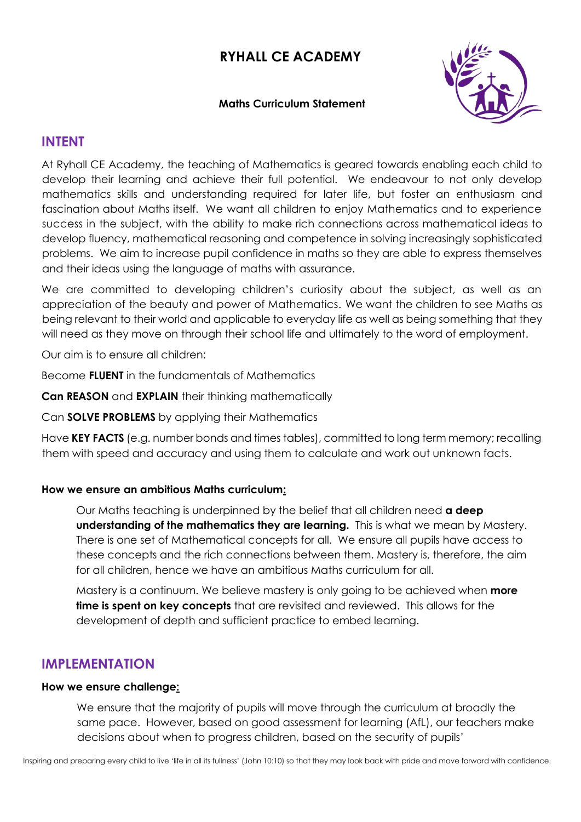# **RYHALL CE ACADEMY**

### **Maths Curriculum Statement**



## **INTENT**

At Ryhall CE Academy, the teaching of Mathematics is geared towards enabling each child to develop their learning and achieve their full potential. We endeavour to not only develop mathematics skills and understanding required for later life, but foster an enthusiasm and fascination about Maths itself. We want all children to enjoy Mathematics and to experience success in the subject, with the ability to make rich connections across mathematical ideas to develop fluency, mathematical reasoning and competence in solving increasingly sophisticated problems. We aim to increase pupil confidence in maths so they are able to express themselves and their ideas using the language of maths with assurance.

We are committed to developing children's curiosity about the subject, as well as an appreciation of the beauty and power of Mathematics. We want the children to see Maths as being relevant to their world and applicable to everyday life as well as being something that they will need as they move on through their school life and ultimately to the word of employment.

Our aim is to ensure all children:

Become **FLUENT** in the fundamentals of Mathematics

**Can REASON** and **EXPLAIN** their thinking mathematically

Can **SOLVE PROBLEMS** by applying their Mathematics

Have **KEY FACTS** (e.g. number bonds and times tables), committed to long term memory; recalling them with speed and accuracy and using them to calculate and work out unknown facts.

#### **How we ensure an ambitious Maths curriculum:**

Our Maths teaching is underpinned by the belief that all children need **a deep understanding of the mathematics they are learning.** This is what we mean by Mastery. There is one set of Mathematical concepts for all. We ensure all pupils have access to these concepts and the rich connections between them. Mastery is, therefore, the aim for all children, hence we have an ambitious Maths curriculum for all.

Mastery is a continuum. We believe mastery is only going to be achieved when **more time is spent on key concepts** that are revisited and reviewed. This allows for the development of depth and sufficient practice to embed learning.

## **IMPLEMENTATION**

#### **How we ensure challenge:**

We ensure that the majority of pupils will move through the curriculum at broadly the same pace. However, based on good assessment for learning (AfL), our teachers make decisions about when to progress children, based on the security of pupils'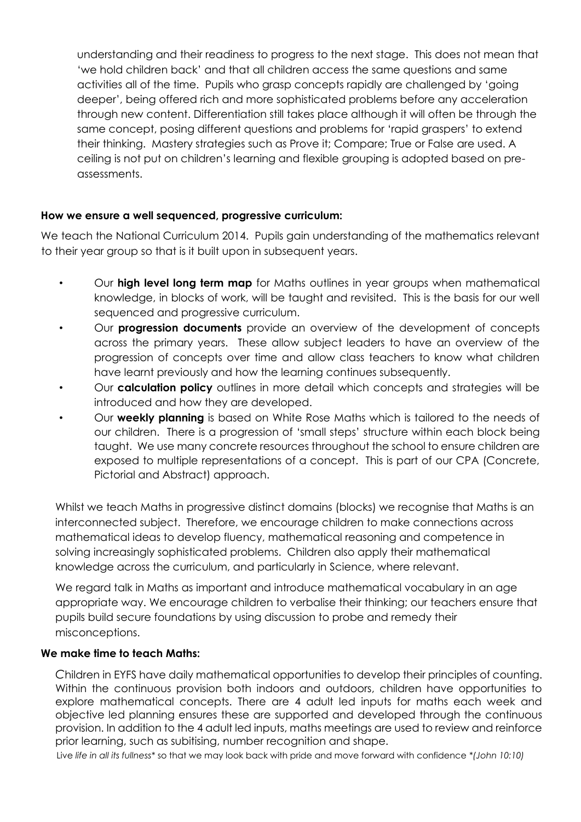understanding and their readiness to progress to the next stage. This does not mean that 'we hold children back' and that all children access the same questions and same activities all of the time. Pupils who grasp concepts rapidly are challenged by 'going deeper', being offered rich and more sophisticated problems before any acceleration through new content. Differentiation still takes place although it will often be through the same concept, posing different questions and problems for 'rapid graspers' to extend their thinking. Mastery strategies such as Prove it; Compare; True or False are used. A ceiling is not put on children's learning and flexible grouping is adopted based on preassessments.

### **How we ensure a well sequenced, progressive curriculum:**

We teach the National Curriculum 2014. Pupils gain understanding of the mathematics relevant to their year group so that is it built upon in subsequent years.

- Our **high level long term map** for Maths outlines in year groups when mathematical knowledge, in blocks of work, will be taught and revisited. This is the basis for our well sequenced and progressive curriculum.
- Our **progression documents** provide an overview of the development of concepts across the primary years. These allow subject leaders to have an overview of the progression of concepts over time and allow class teachers to know what children have learnt previously and how the learning continues subsequently.
- Our **calculation policy** outlines in more detail which concepts and strategies will be introduced and how they are developed.
- Our **weekly planning** is based on White Rose Maths which is tailored to the needs of our children. There is a progression of 'small steps' structure within each block being taught. We use many concrete resources throughout the school to ensure children are exposed to multiple representations of a concept. This is part of our CPA (Concrete, Pictorial and Abstract) approach.

Whilst we teach Maths in progressive distinct domains (blocks) we recognise that Maths is an interconnected subject. Therefore, we encourage children to make connections across mathematical ideas to develop fluency, mathematical reasoning and competence in solving increasingly sophisticated problems. Children also apply their mathematical knowledge across the curriculum, and particularly in Science, where relevant.

We regard talk in Maths as important and introduce mathematical vocabulary in an age appropriate way. We encourage children to verbalise their thinking; our teachers ensure that pupils build secure foundations by using discussion to probe and remedy their misconceptions.

### **We make time to teach Maths:**

*C*hildren in EYFS have daily mathematical opportunities to develop their principles of counting. Within the continuous provision both indoors and outdoors, children have opportunities to explore mathematical concepts. There are 4 adult led inputs for maths each week and objective led planning ensures these are supported and developed through the continuous provision. In addition to the 4 adult led inputs, maths meetings are used to review and reinforce prior learning, such as subitising, number recognition and shape.

Live *life in all its fullness\** so that we may look back with pride and move forward with confidence *\*(John 10:10)*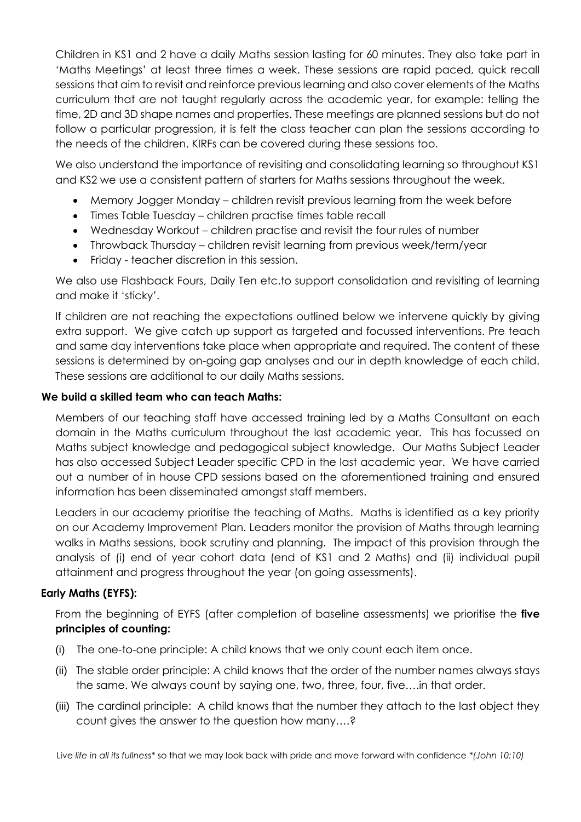Children in KS1 and 2 have a daily Maths session lasting for 60 minutes. They also take part in 'Maths Meetings' at least three times a week. These sessions are rapid paced, quick recall sessions that aim to revisit and reinforce previous learning and also cover elements of the Maths curriculum that are not taught regularly across the academic year, for example: telling the time, 2D and 3D shape names and properties. These meetings are planned sessions but do not follow a particular progression, it is felt the class teacher can plan the sessions according to the needs of the children. KIRFs can be covered during these sessions too.

We also understand the importance of revisiting and consolidating learning so throughout KS1 and KS2 we use a consistent pattern of starters for Maths sessions throughout the week.

- Memory Jogger Monday children revisit previous learning from the week before
- Times Table Tuesday children practise times table recall
- Wednesday Workout children practise and revisit the four rules of number
- Throwback Thursday children revisit learning from previous week/term/year
- Friday teacher discretion in this session.

We also use Flashback Fours, Daily Ten etc.to support consolidation and revisiting of learning and make it 'sticky'.

If children are not reaching the expectations outlined below we intervene quickly by giving extra support. We give catch up support as targeted and focussed interventions. Pre teach and same day interventions take place when appropriate and required. The content of these sessions is determined by on-going gap analyses and our in depth knowledge of each child. These sessions are additional to our daily Maths sessions.

### **We build a skilled team who can teach Maths:**

Members of our teaching staff have accessed training led by a Maths Consultant on each domain in the Maths curriculum throughout the last academic year. This has focussed on Maths subject knowledge and pedagogical subject knowledge. Our Maths Subject Leader has also accessed Subject Leader specific CPD in the last academic year. We have carried out a number of in house CPD sessions based on the aforementioned training and ensured information has been disseminated amongst staff members.

Leaders in our academy prioritise the teaching of Maths. Maths is identified as a key priority on our Academy Improvement Plan. Leaders monitor the provision of Maths through learning walks in Maths sessions, book scrutiny and planning. The impact of this provision through the analysis of (i) end of year cohort data (end of KS1 and 2 Maths) and (ii) individual pupil attainment and progress throughout the year (on going assessments).

### **Early Maths (EYFS):**

From the beginning of EYFS (after completion of baseline assessments) we prioritise the **five principles of counting:** 

- (i) The one-to-one principle: A child knows that we only count each item once.
- (ii) The stable order principle: A child knows that the order of the number names always stays the same. We always count by saying one, two, three, four, five….in that order.
- (iii) The cardinal principle: A child knows that the number they attach to the last object they count gives the answer to the question how many….?

Live *life in all its fullness\** so that we may look back with pride and move forward with confidence *\*(John 10:10)*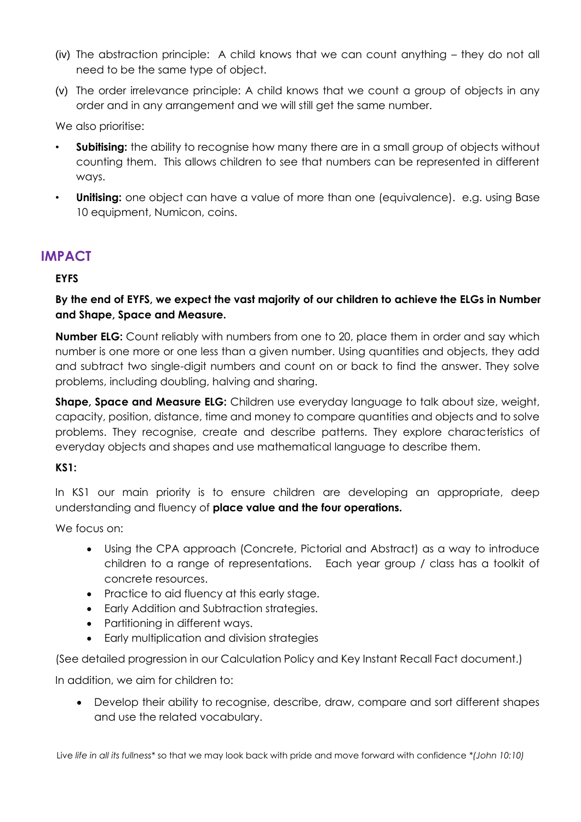- (iv) The abstraction principle: A child knows that we can count anything they do not all need to be the same type of object.
- (v) The order irrelevance principle: A child knows that we count a group of objects in any order and in any arrangement and we will still get the same number.

We also prioritise:

- **Subitising:** the ability to recognise how many there are in a small group of objects without counting them. This allows children to see that numbers can be represented in different ways.
- **Unitising:** one object can have a value of more than one (equivalence). e.g. using Base 10 equipment, Numicon, coins.

# **IMPACT**

### **EYFS**

### **By the end of EYFS, we expect the vast majority of our children to achieve the ELGs in Number and Shape, Space and Measure.**

**Number ELG:** Count reliably with numbers from one to 20, place them in order and say which number is one more or one less than a given number. Using quantities and objects, they add and subtract two single-digit numbers and count on or back to find the answer. They solve problems, including doubling, halving and sharing.

**Shape, Space and Measure ELG:** Children use everyday language to talk about size, weight, capacity, position, distance, time and money to compare quantities and objects and to solve problems. They recognise, create and describe patterns. They explore characteristics of everyday objects and shapes and use mathematical language to describe them.

### **KS1:**

In KS1 our main priority is to ensure children are developing an appropriate, deep understanding and fluency of **place value and the four operations.**

We focus on:

- Using the CPA approach (Concrete, Pictorial and Abstract) as a way to introduce children to a range of representations. Each year group / class has a toolkit of concrete resources.
- Practice to aid fluency at this early stage.
- Early Addition and Subtraction strategies.
- Partitioning in different ways.
- Early multiplication and division strategies

(See detailed progression in our Calculation Policy and Key Instant Recall Fact document.)

In addition, we aim for children to:

• Develop their ability to recognise, describe, draw, compare and sort different shapes and use the related vocabulary.

Live *life in all its fullness\** so that we may look back with pride and move forward with confidence *\*(John 10:10)*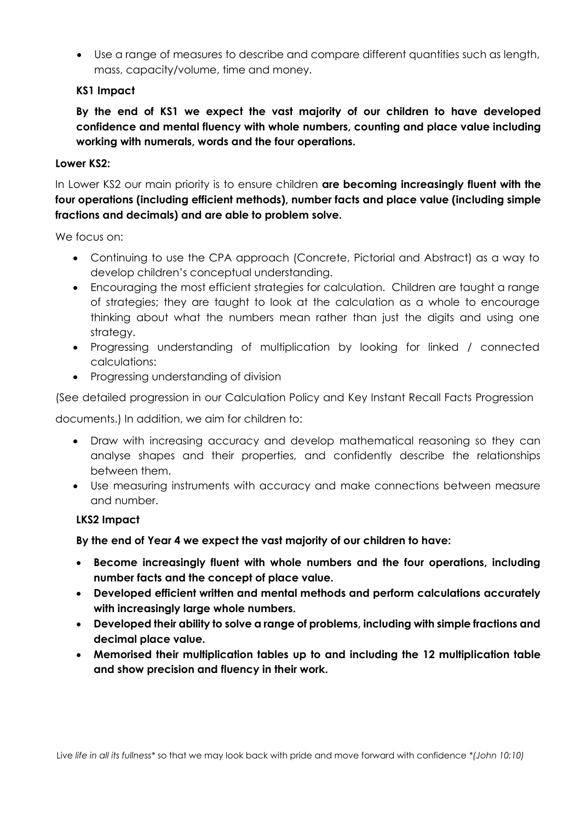• Use a range of measures to describe and compare different quantities such as length, mass, capacity/volume, time and money.

### **KS1 Impact**

**By the end of KS1 we expect the vast majority of our children to have developed confidence and mental fluency with whole numbers, counting and place value including working with numerals, words and the four operations.** 

### **Lower KS2:**

In Lower KS2 our main priority is to ensure children **are becoming increasingly fluent with the four operations (including efficient methods), number facts and place value (including simple fractions and decimals) and are able to problem solve.** 

We focus on:

- Continuing to use the CPA approach (Concrete, Pictorial and Abstract) as a way to develop children's conceptual understanding.
- Encouraging the most efficient strategies for calculation. Children are taught a range of strategies; they are taught to look at the calculation as a whole to encourage thinking about what the numbers mean rather than just the digits and using one strategy.
- Progressing understanding of multiplication by looking for linked / connected calculations:
- Progressing understanding of division

(See detailed progression in our Calculation Policy and Key Instant Recall Facts Progression

documents.) In addition, we aim for children to:

- Draw with increasing accuracy and develop mathematical reasoning so they can analyse shapes and their properties, and confidently describe the relationships between them.
- Use measuring instruments with accuracy and make connections between measure and number.

### **LKS2 Impact**

### **By the end of Year 4 we expect the vast majority of our children to have:**

- **Become increasingly fluent with whole numbers and the four operations, including number facts and the concept of place value.**
- **Developed efficient written and mental methods and perform calculations accurately with increasingly large whole numbers.**
- **Developed their ability to solve a range of problems, including with simple fractions and decimal place value.**
- **Memorised their multiplication tables up to and including the 12 multiplication table and show precision and fluency in their work.**